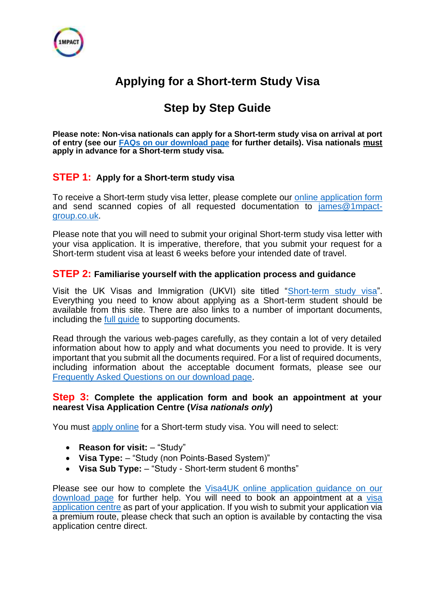

# **Applying for a Short-term Study Visa**

# **Step by Step Guide**

**Please note: Non-visa nationals can apply for a Short-term study visa on arrival at port of entry (see our [FAQs on our download page](https://www.innolearnworldwide.com/downloadpage) for further details). Visa nationals must apply in advance for a Short-term study visa.**

## **STEP 1: Apply for a Short-term study visa**

To receive a Short-term study visa letter, please complete our [online application form](https://www.formlets.com/forms/WCODxDr71JnUh9m5/) and send scanned copies of all requested documentation to [james@1mpact](mailto:james@1mpact-group.co.uk)[group.co.uk.](mailto:james@1mpact-group.co.uk)

Please note that you will need to submit your original Short-term study visa letter with your visa application. It is imperative, therefore, that you submit your request for a Short-term student visa at least 6 weeks before your intended date of travel.

### **STEP 2: Familiarise yourself with the application process and guidance**

Visit the UK Visas and Immigration (UKVI) site titled ["Short-term study visa"](https://www.gov.uk/study-visit-visa). Everything you need to know about applying as a Short-term student should be available from this site. There are also links to a number of important documents, including the [full guide](https://www.gov.uk/government/publications/visitor-visa-guide-to-supporting-documents) to supporting documents.

Read through the various web-pages carefully, as they contain a lot of very detailed information about how to apply and what documents you need to provide. It is very important that you submit all the documents required. For a list of required documents, including information about the acceptable document formats, please see our [Frequently Asked Questions](https://www.innolearnworldwide.com/downloadpage) on our download page.

#### **Step 3: Complete the application form and book an appointment at your nearest Visa Application Centre (***Visa nationals only***)**

You must [apply online](https://www.gov.uk/apply-uk-visa) for a Short-term study visa. You will need to select:

- **Reason for visit:** "Study"
- **Visa Type:** "Study (non Points-Based System)"
- **Visa Sub Type:** "Study Short-term student 6 months"

Please see our how to complete the [Visa4UK online application guidance](https://www.innolearnworldwide.com/downloadpage) on our [download page](https://www.innolearnworldwide.com/downloadpage) for further help. You will need to book an appointment at a [visa](https://www.gov.uk/find-a-visa-application-centre)  [application centre](https://www.gov.uk/find-a-visa-application-centre) as part of your application. If you wish to submit your application via a premium route, please check that such an option is available by contacting the visa application centre direct.